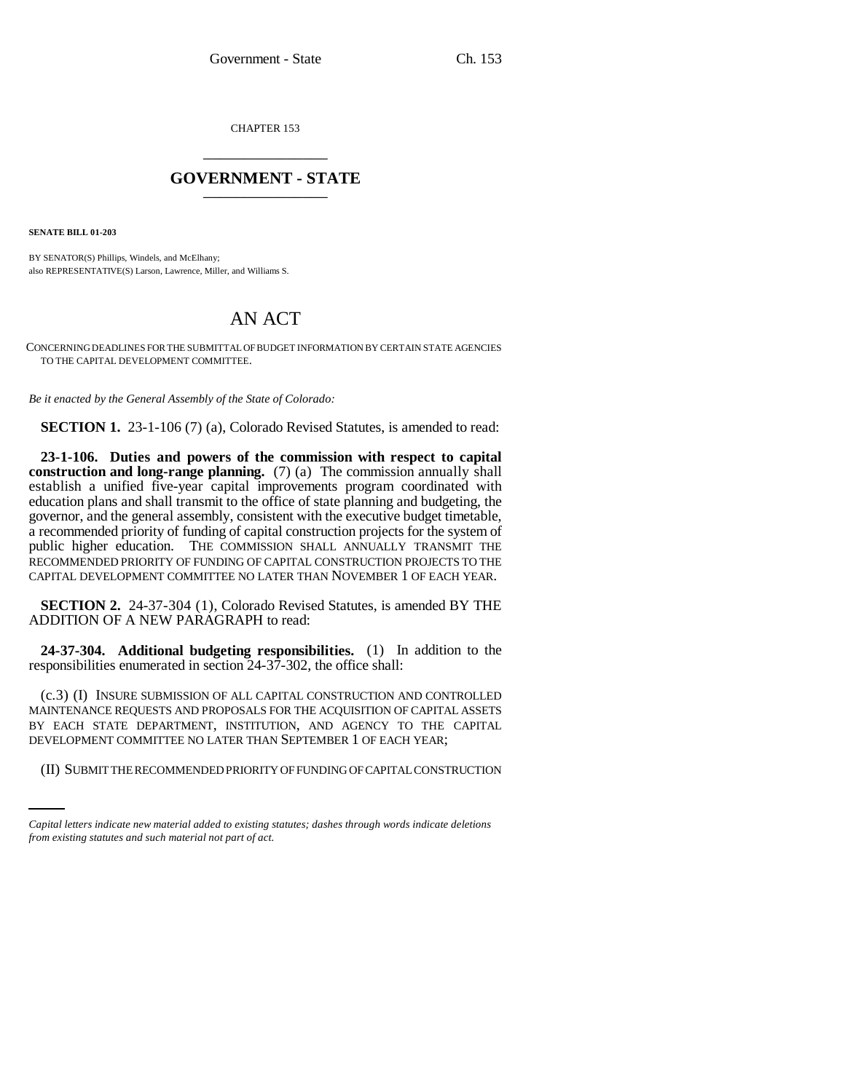CHAPTER 153 \_\_\_\_\_\_\_\_\_\_\_\_\_\_\_

## **GOVERNMENT - STATE** \_\_\_\_\_\_\_\_\_\_\_\_\_\_\_

**SENATE BILL 01-203**

BY SENATOR(S) Phillips, Windels, and McElhany; also REPRESENTATIVE(S) Larson, Lawrence, Miller, and Williams S.

## AN ACT

CONCERNING DEADLINES FOR THE SUBMITTAL OF BUDGET INFORMATION BY CERTAIN STATE AGENCIES TO THE CAPITAL DEVELOPMENT COMMITTEE.

*Be it enacted by the General Assembly of the State of Colorado:*

**SECTION 1.** 23-1-106 (7) (a), Colorado Revised Statutes, is amended to read:

**23-1-106. Duties and powers of the commission with respect to capital construction and long-range planning.** (7) (a) The commission annually shall establish a unified five-year capital improvements program coordinated with education plans and shall transmit to the office of state planning and budgeting, the governor, and the general assembly, consistent with the executive budget timetable, a recommended priority of funding of capital construction projects for the system of public higher education. THE COMMISSION SHALL ANNUALLY TRANSMIT THE RECOMMENDED PRIORITY OF FUNDING OF CAPITAL CONSTRUCTION PROJECTS TO THE CAPITAL DEVELOPMENT COMMITTEE NO LATER THAN NOVEMBER 1 OF EACH YEAR.

**SECTION 2.** 24-37-304 (1), Colorado Revised Statutes, is amended BY THE ADDITION OF A NEW PARAGRAPH to read:

**24-37-304. Additional budgeting responsibilities.** (1) In addition to the responsibilities enumerated in section 24-37-302, the office shall:

DEVELOPMENT COMMITTEE NO LATER THAN SEPTEMBER 1 OF EACH YEAR; (c.3) (I) INSURE SUBMISSION OF ALL CAPITAL CONSTRUCTION AND CONTROLLED MAINTENANCE REQUESTS AND PROPOSALS FOR THE ACQUISITION OF CAPITAL ASSETS BY EACH STATE DEPARTMENT, INSTITUTION, AND AGENCY TO THE CAPITAL

(II) SUBMIT THE RECOMMENDED PRIORITY OF FUNDING OF CAPITAL CONSTRUCTION

*Capital letters indicate new material added to existing statutes; dashes through words indicate deletions from existing statutes and such material not part of act.*